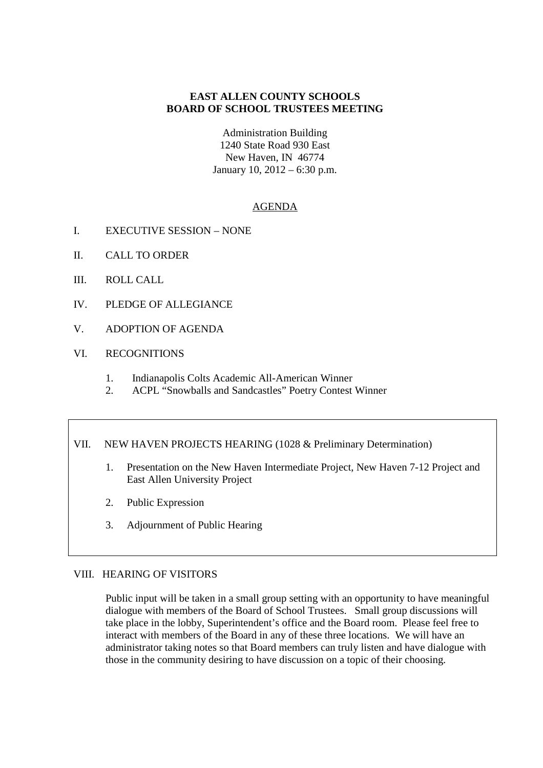#### **EAST ALLEN COUNTY SCHOOLS BOARD OF SCHOOL TRUSTEES MEETING**

Administration Building 1240 State Road 930 East New Haven, IN 46774 January 10, 2012 – 6:30 p.m.

### AGENDA

- I. EXECUTIVE SESSION NONE
- II. CALL TO ORDER
- III. ROLL CALL
- IV. PLEDGE OF ALLEGIANCE
- V. ADOPTION OF AGENDA

#### VI. RECOGNITIONS

- 1. Indianapolis Colts Academic All-American Winner
- 2. ACPL "Snowballs and Sandcastles" Poetry Contest Winner

#### VII. NEW HAVEN PROJECTS HEARING (1028 & Preliminary Determination)

- 1. Presentation on the New Haven Intermediate Project, New Haven 7-12 Project and East Allen University Project
- 2. Public Expression
- 3. Adjournment of Public Hearing

#### VIII. HEARING OF VISITORS

Public input will be taken in a small group setting with an opportunity to have meaningful dialogue with members of the Board of School Trustees. Small group discussions will take place in the lobby, Superintendent's office and the Board room. Please feel free to interact with members of the Board in any of these three locations. We will have an administrator taking notes so that Board members can truly listen and have dialogue with those in the community desiring to have discussion on a topic of their choosing.